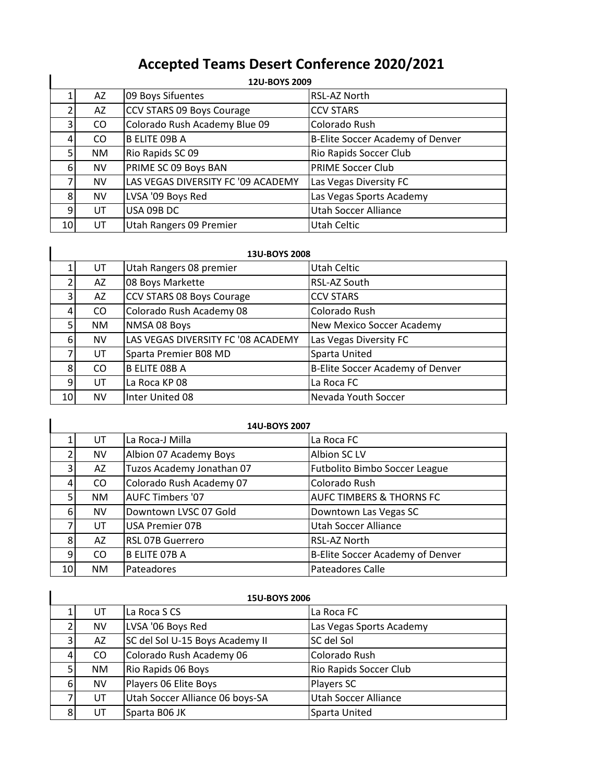## **Accepted Teams Desert Conference 2020/2021**

|    | 12U-BOYS 2009 |                                    |                                  |  |
|----|---------------|------------------------------------|----------------------------------|--|
|    | AZ            | 09 Boys Sifuentes                  | RSL-AZ North                     |  |
|    | AZ            | CCV STARS 09 Boys Courage          | <b>CCV STARS</b>                 |  |
| 3  | CO            | Colorado Rush Academy Blue 09      | Colorado Rush                    |  |
| 4  | CO            | <b>B ELITE 09B A</b>               | B-Elite Soccer Academy of Denver |  |
| 5  | NM.           | Rio Rapids SC 09                   | Rio Rapids Soccer Club           |  |
| 6  | <b>NV</b>     | PRIME SC 09 Boys BAN               | <b>PRIME Soccer Club</b>         |  |
|    | <b>NV</b>     | LAS VEGAS DIVERSITY FC '09 ACADEMY | Las Vegas Diversity FC           |  |
| 8  | <b>NV</b>     | LVSA '09 Boys Red                  | Las Vegas Sports Academy         |  |
| 9  | UT            | USA 09B DC                         | <b>Utah Soccer Alliance</b>      |  |
| 10 | UT            | Utah Rangers 09 Premier            | Utah Celtic                      |  |

| 13U-BOYS 2008 |     |                                    |                                  |
|---------------|-----|------------------------------------|----------------------------------|
|               | UT  | Utah Rangers 08 premier            | Utah Celtic                      |
|               | AZ  | 08 Boys Markette                   | RSL-AZ South                     |
|               | AZ  | CCV STARS 08 Boys Courage          | <b>CCV STARS</b>                 |
|               | CO. | Colorado Rush Academy 08           | Colorado Rush                    |
|               | NM. | NMSA 08 Boys                       | New Mexico Soccer Academy        |
| 6             | NV  | LAS VEGAS DIVERSITY FC '08 ACADEMY | Las Vegas Diversity FC           |
|               | UT  | Sparta Premier B08 MD              | Sparta United                    |
| 8             | CO  | <b>B ELITE 08B A</b>               | B-Elite Soccer Academy of Denver |
| 9             | UT  | La Roca KP 08                      | La Roca FC                       |
| 10            | NV  | Inter United 08                    | Nevada Youth Soccer              |

| 14U-BOYS 2007 |           |                           |                                     |
|---------------|-----------|---------------------------|-------------------------------------|
|               | UT        | La Roca-J Milla           | La Roca FC                          |
|               | <b>NV</b> | Albion 07 Academy Boys    | Albion SC LV                        |
| 3             | AZ        | Tuzos Academy Jonathan 07 | Futbolito Bimbo Soccer League       |
|               | CO.       | Colorado Rush Academy 07  | Colorado Rush                       |
| 5             | <b>NM</b> | <b>AUFC Timbers '07</b>   | <b>AUFC TIMBERS &amp; THORNS FC</b> |
| 6             | <b>NV</b> | Downtown LVSC 07 Gold     | Downtown Las Vegas SC               |
|               | UT        | <b>USA Premier 07B</b>    | Utah Soccer Alliance                |
| 8             | AZ        | <b>RSL 07B Guerrero</b>   | RSL-AZ North                        |
| 9             | CO        | <b>B ELITE 07B A</b>      | B-Elite Soccer Academy of Denver    |
| 10            | NM.       | Pateadores                | <b>Pateadores Calle</b>             |

|   | <b>15U-BOYS 2006</b> |                                 |                             |  |
|---|----------------------|---------------------------------|-----------------------------|--|
|   | UT                   | La Roca S CS                    | La Roca FC                  |  |
|   | <b>NV</b>            | LVSA '06 Boys Red               | Las Vegas Sports Academy    |  |
| 3 | AZ                   | SC del Sol U-15 Boys Academy II | SC del Sol                  |  |
|   | CO                   | Colorado Rush Academy 06        | Colorado Rush               |  |
|   | <b>NM</b>            | Rio Rapids 06 Boys              | Rio Rapids Soccer Club      |  |
| 6 | <b>NV</b>            | Players 06 Elite Boys           | <b>Players SC</b>           |  |
|   | UT                   | Utah Soccer Alliance 06 boys-SA | <b>Utah Soccer Alliance</b> |  |
|   | UT                   | Sparta B06 JK                   | Sparta United               |  |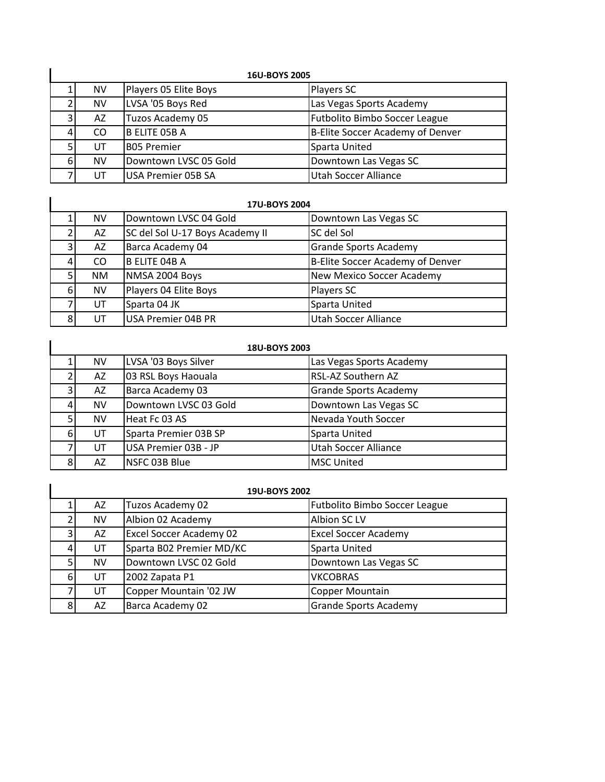|                | <b>16U-BOYS 2005</b> |                           |                                  |  |
|----------------|----------------------|---------------------------|----------------------------------|--|
|                | NV                   | Players 05 Elite Boys     | <b>Players SC</b>                |  |
|                | <b>NV</b>            | LVSA '05 Boys Red         | Las Vegas Sports Academy         |  |
| 3 <sub>l</sub> | AZ                   | Tuzos Academy 05          | Futbolito Bimbo Soccer League    |  |
|                | CO.                  | B ELITE 05B A             | B-Elite Soccer Academy of Denver |  |
|                | UT                   | <b>BO5 Premier</b>        | Sparta United                    |  |
| 6              | <b>NV</b>            | Downtown LVSC 05 Gold     | Downtown Las Vegas SC            |  |
|                | UT                   | <b>USA Premier 05B SA</b> | Utah Soccer Alliance             |  |

|   | 17U-BOYS 2004 |                                 |                                  |  |
|---|---------------|---------------------------------|----------------------------------|--|
|   | NV            | Downtown LVSC 04 Gold           | Downtown Las Vegas SC            |  |
|   | AZ            | SC del Sol U-17 Boys Academy II | SC del Sol                       |  |
| 3 | AZ            | Barca Academy 04                | <b>Grande Sports Academy</b>     |  |
| 4 | CO            | <b>B ELITE 04B A</b>            | B-Elite Soccer Academy of Denver |  |
|   | <b>NM</b>     | NMSA 2004 Boys                  | <b>New Mexico Soccer Academy</b> |  |
| 6 | <b>NV</b>     | Players 04 Elite Boys           | Players SC                       |  |
|   | UT            | Sparta 04 JK                    | Sparta United                    |  |
| 8 | UT            | USA Premier 04B PR              | <b>Utah Soccer Alliance</b>      |  |

| <b>18U-BOYS 2003</b> |           |                       |                              |
|----------------------|-----------|-----------------------|------------------------------|
|                      | <b>NV</b> | LVSA '03 Boys Silver  | Las Vegas Sports Academy     |
|                      | AZ        | 03 RSL Boys Haouala   | RSL-AZ Southern AZ           |
| 3                    | AZ        | Barca Academy 03      | <b>Grande Sports Academy</b> |
|                      | <b>NV</b> | Downtown LVSC 03 Gold | Downtown Las Vegas SC        |
| 5                    | <b>NV</b> | Heat Fc 03 AS         | Nevada Youth Soccer          |
| 6                    | UT        | Sparta Premier 03B SP | Sparta United                |
|                      | UT        | USA Premier 03B - JP  | <b>Utah Soccer Alliance</b>  |
| 8                    | AZ        | NSFC 03B Blue         | <b>MSC United</b>            |

|   | 19U-BOYS 2002 |                                |                               |  |
|---|---------------|--------------------------------|-------------------------------|--|
|   | AZ            | Tuzos Academy 02               | Futbolito Bimbo Soccer League |  |
|   | NV            | Albion 02 Academy              | Albion SC LV                  |  |
|   | AZ            | <b>Excel Soccer Academy 02</b> | <b>Excel Soccer Academy</b>   |  |
|   | UT            | Sparta B02 Premier MD/KC       | Sparta United                 |  |
|   | <b>NV</b>     | Downtown LVSC 02 Gold          | Downtown Las Vegas SC         |  |
| 6 | UT            | 2002 Zapata P1                 | <b>VKCOBRAS</b>               |  |
|   | UT            | Copper Mountain '02 JW         | Copper Mountain               |  |
|   | AZ            | Barca Academy 02               | <b>Grande Sports Academy</b>  |  |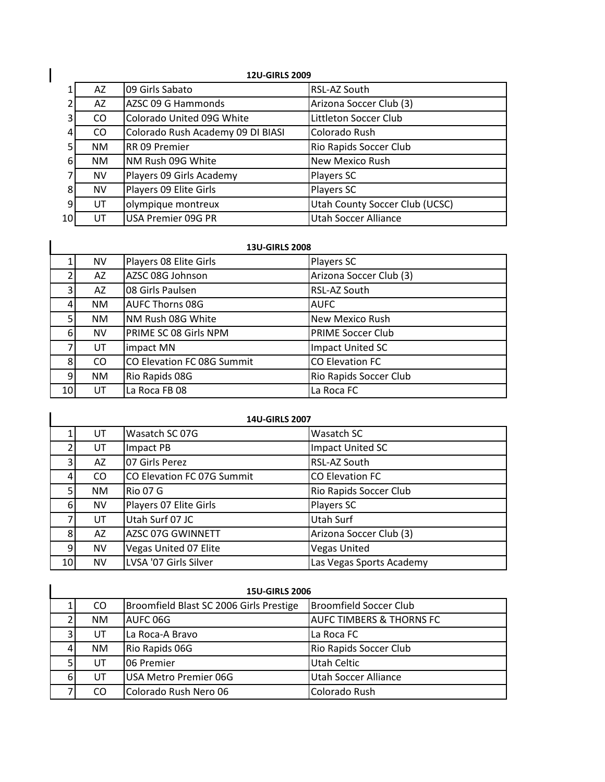|    | <b>12U-GIRLS 2009</b> |                                   |                                |  |
|----|-----------------------|-----------------------------------|--------------------------------|--|
|    | AZ.                   | 09 Girls Sabato                   | RSL-AZ South                   |  |
|    | AZ                    | AZSC 09 G Hammonds                | Arizona Soccer Club (3)        |  |
| 31 | CO                    | Colorado United 09G White         | Littleton Soccer Club          |  |
| 41 | CO                    | Colorado Rush Academy 09 DI BIASI | Colorado Rush                  |  |
| 5  | <b>NM</b>             | RR 09 Premier                     | Rio Rapids Soccer Club         |  |
| 6  | <b>NM</b>             | NM Rush 09G White                 | New Mexico Rush                |  |
|    | <b>NV</b>             | Players 09 Girls Academy          | Players SC                     |  |
| 8  | <b>NV</b>             | Players 09 Elite Girls            | Players SC                     |  |
| 9  | UT                    | olympique montreux                | Utah County Soccer Club (UCSC) |  |
| 10 | UT                    | USA Premier 09G PR                | Utah Soccer Alliance           |  |

|    | <b>13U-GIRLS 2008</b> |                            |                          |  |
|----|-----------------------|----------------------------|--------------------------|--|
|    | <b>NV</b>             | Players 08 Elite Girls     | Players SC               |  |
|    | AZ                    | AZSC 08G Johnson           | Arizona Soccer Club (3)  |  |
|    | AZ                    | 08 Girls Paulsen           | RSL-AZ South             |  |
|    | <b>NM</b>             | <b>AUFC Thorns 08G</b>     | <b>AUFC</b>              |  |
| 5  | NM.                   | NM Rush 08G White          | New Mexico Rush          |  |
| 6  | NV                    | PRIME SC 08 Girls NPM      | <b>PRIME Soccer Club</b> |  |
|    | UT                    | impact MN                  | Impact United SC         |  |
| 8  | CO.                   | CO Elevation FC 08G Summit | <b>CO Elevation FC</b>   |  |
| 9  | NM.                   | Rio Rapids 08G             | Rio Rapids Soccer Club   |  |
| 10 | UT                    | La Roca FB 08              | La Roca FC               |  |

| <b>14U-GIRLS 2007</b> |           |                            |                          |
|-----------------------|-----------|----------------------------|--------------------------|
|                       | UT        | Wasatch SC 07G             | Wasatch SC               |
|                       | UT        | Impact PB                  | Impact United SC         |
| 3                     | AZ        | 07 Girls Perez             | RSL-AZ South             |
| 4                     | CO.       | CO Elevation FC 07G Summit | <b>CO Elevation FC</b>   |
| 5                     | NM.       | <b>Rio 07 G</b>            | Rio Rapids Soccer Club   |
| 6                     | <b>NV</b> | Players 07 Elite Girls     | Players SC               |
|                       | UT        | Utah Surf 07 JC            | Utah Surf                |
| 8                     | AZ        | AZSC 07G GWINNETT          | Arizona Soccer Club (3)  |
| 9                     | <b>NV</b> | Vegas United 07 Elite      | <b>Vegas United</b>      |
| 10                    | NV        | LVSA '07 Girls Silver      | Las Vegas Sports Academy |

| <b>15U-GIRLS 2006</b> |           |                                         |                                     |
|-----------------------|-----------|-----------------------------------------|-------------------------------------|
|                       | CO        | Broomfield Blast SC 2006 Girls Prestige | <b>Broomfield Soccer Club</b>       |
|                       | <b>NM</b> | AUFC 06G                                | <b>AUFC TIMBERS &amp; THORNS FC</b> |
| 3 <sub>1</sub>        | UT        | La Roca-A Bravo                         | La Roca FC                          |
| 4                     | <b>NM</b> | Rio Rapids 06G                          | Rio Rapids Soccer Club              |
| 5                     | UT        | 06 Premier                              | <b>Utah Celtic</b>                  |
| 6                     | UT        | USA Metro Premier 06G                   | <b>Utah Soccer Alliance</b>         |
|                       | CO        | Colorado Rush Nero 06                   | Colorado Rush                       |